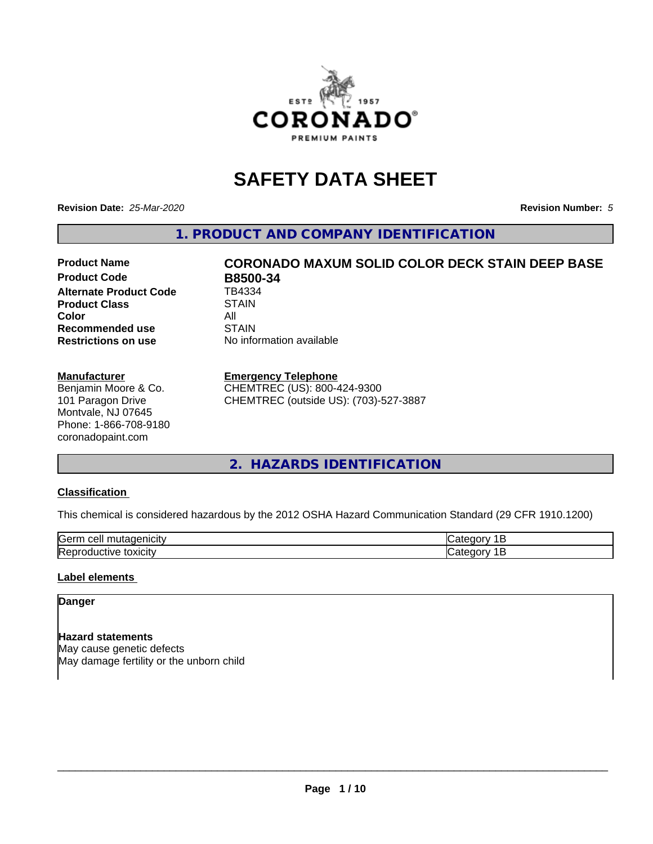

# **SAFETY DATA SHEET**

**Revision Date:** *25-Mar-2020* **Revision Number:** *5*

**1. PRODUCT AND COMPANY IDENTIFICATION**

# **Product Name CORONADO MAXUM SOLID COLOR DECK STAIN DEEP BASE**

**Product Code B8500-34**<br> **Alternate Product Code B8500-34 Alternate Product Code Product Class STAIN Color** All All<br>**Recommended use** STAIN **Recommended use Restrictions on use** No information available

#### **Manufacturer**

Benjamin Moore & Co. 101 Paragon Drive Montvale, NJ 07645 Phone: 1-866-708-9180 coronadopaint.com

# **Emergency Telephone**

CHEMTREC (US): 800-424-9300 CHEMTREC (outside US): (703)-527-3887

**2. HAZARDS IDENTIFICATION**

# **Classification**

This chemical is considered hazardous by the 2012 OSHA Hazard Communication Standard (29 CFR 1910.1200)

| -<br>$A + A$<br>eυ<br>ш |  |
|-------------------------|--|
| .<br>- -<br>ʻICL<br>-   |  |

# **Label elements**

#### **Danger**

**Hazard statements** May cause genetic defects May damage fertility or the unborn child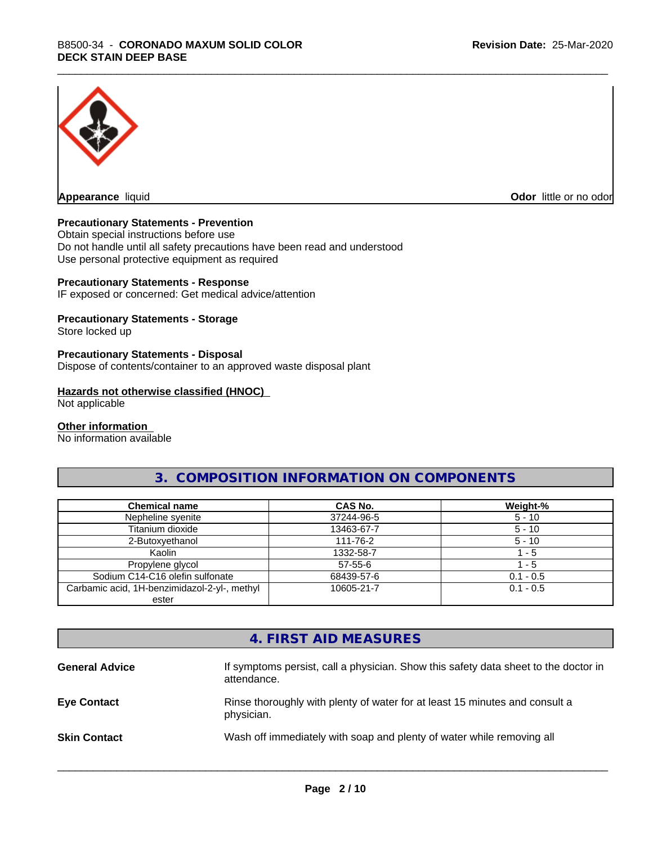

**Appearance** liquid **Odor in the original of the original of the original of the original of the original of the original of the original of the original of the original of the original of the original of the original of t** 

## **Precautionary Statements - Prevention**

Obtain special instructions before use Do not handle until all safety precautions have been read and understood Use personal protective equipment as required

#### **Precautionary Statements - Response**

IF exposed or concerned: Get medical advice/attention

## **Precautionary Statements - Storage**

Store locked up

#### **Precautionary Statements - Disposal**

Dispose of contents/container to an approved waste disposal plant

#### **Hazards not otherwise classified (HNOC)**

Not applicable

#### **Other information**

No information available

# **3. COMPOSITION INFORMATION ON COMPONENTS**

| <b>Chemical name</b>                         | CAS No.       | Weight-%    |
|----------------------------------------------|---------------|-------------|
| Nepheline syenite                            | 37244-96-5    | $5 - 10$    |
| Titanium dioxide                             | 13463-67-7    | $5 - 10$    |
| 2-Butoxyethanol                              | 111-76-2      | $5 - 10$    |
| Kaolin                                       | 1332-58-7     | - 5         |
| Propylene glycol                             | $57 - 55 - 6$ | - 5         |
| Sodium C14-C16 olefin sulfonate              | 68439-57-6    | $0.1 - 0.5$ |
| Carbamic acid, 1H-benzimidazol-2-yl-, methyl | 10605-21-7    | $0.1 - 0.5$ |
| ester                                        |               |             |

# **4. FIRST AID MEASURES**

| <b>General Advice</b> | If symptoms persist, call a physician. Show this safety data sheet to the doctor in<br>attendance. |
|-----------------------|----------------------------------------------------------------------------------------------------|
| <b>Eye Contact</b>    | Rinse thoroughly with plenty of water for at least 15 minutes and consult a<br>physician.          |
| <b>Skin Contact</b>   | Wash off immediately with soap and plenty of water while removing all                              |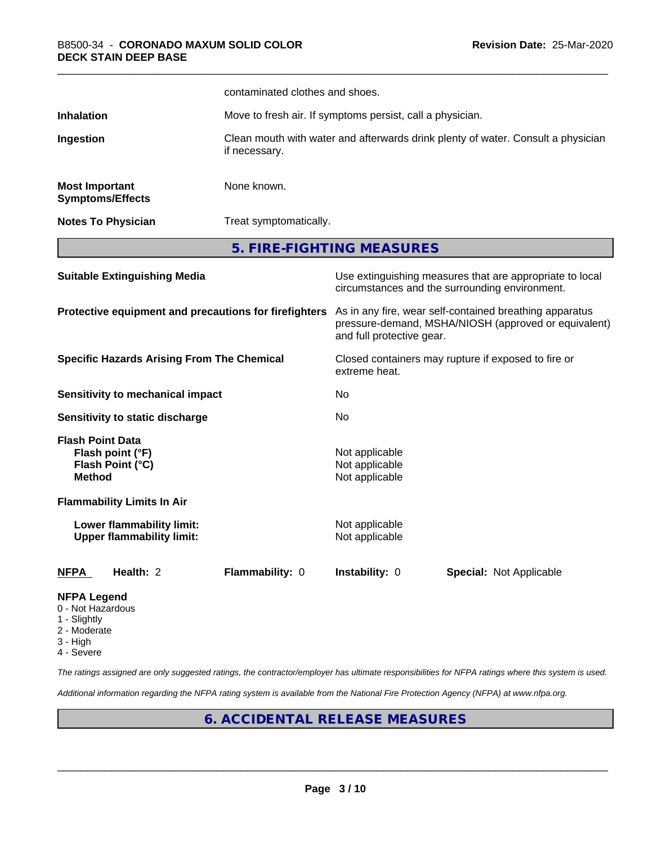|                                                                         |                                                                 | contaminated clothes and shoes.                                                                                                              |                                                                                  |                                                                                                            |  |
|-------------------------------------------------------------------------|-----------------------------------------------------------------|----------------------------------------------------------------------------------------------------------------------------------------------|----------------------------------------------------------------------------------|------------------------------------------------------------------------------------------------------------|--|
| <b>Inhalation</b>                                                       |                                                                 | Move to fresh air. If symptoms persist, call a physician.                                                                                    |                                                                                  |                                                                                                            |  |
| Ingestion                                                               |                                                                 | if necessary.                                                                                                                                | Clean mouth with water and afterwards drink plenty of water. Consult a physician |                                                                                                            |  |
|                                                                         | <b>Most Important</b><br>None known.<br><b>Symptoms/Effects</b> |                                                                                                                                              |                                                                                  |                                                                                                            |  |
|                                                                         | <b>Notes To Physician</b>                                       | Treat symptomatically.                                                                                                                       |                                                                                  |                                                                                                            |  |
|                                                                         |                                                                 |                                                                                                                                              | 5. FIRE-FIGHTING MEASURES                                                        |                                                                                                            |  |
|                                                                         | <b>Suitable Extinguishing Media</b>                             |                                                                                                                                              |                                                                                  | Use extinguishing measures that are appropriate to local<br>circumstances and the surrounding environment. |  |
| Protective equipment and precautions for firefighters                   |                                                                 | As in any fire, wear self-contained breathing apparatus<br>pressure-demand, MSHA/NIOSH (approved or equivalent)<br>and full protective gear. |                                                                                  |                                                                                                            |  |
| <b>Specific Hazards Arising From The Chemical</b>                       |                                                                 | extreme heat.                                                                                                                                | Closed containers may rupture if exposed to fire or                              |                                                                                                            |  |
|                                                                         | <b>Sensitivity to mechanical impact</b>                         |                                                                                                                                              | No                                                                               |                                                                                                            |  |
|                                                                         | Sensitivity to static discharge                                 |                                                                                                                                              | No                                                                               |                                                                                                            |  |
| <b>Flash Point Data</b><br><b>Method</b>                                | Flash point (°F)<br>Flash Point (°C)                            |                                                                                                                                              | Not applicable<br>Not applicable<br>Not applicable                               |                                                                                                            |  |
|                                                                         | <b>Flammability Limits In Air</b>                               |                                                                                                                                              |                                                                                  |                                                                                                            |  |
|                                                                         | Lower flammability limit:<br><b>Upper flammability limit:</b>   |                                                                                                                                              | Not applicable<br>Not applicable                                                 |                                                                                                            |  |
| <b>NFPA</b>                                                             | Health: 2                                                       | Flammability: 0                                                                                                                              | Instability: 0                                                                   | <b>Special: Not Applicable</b>                                                                             |  |
| <b>NFPA Legend</b><br>0 - Not Hazardous<br>1 - Slightly<br>2 - Moderate |                                                                 |                                                                                                                                              |                                                                                  |                                                                                                            |  |

- 
- 3 High
- 4 Severe

*The ratings assigned are only suggested ratings, the contractor/employer has ultimate responsibilities for NFPA ratings where this system is used.*

*Additional information regarding the NFPA rating system is available from the National Fire Protection Agency (NFPA) at www.nfpa.org.*

# **6. ACCIDENTAL RELEASE MEASURES**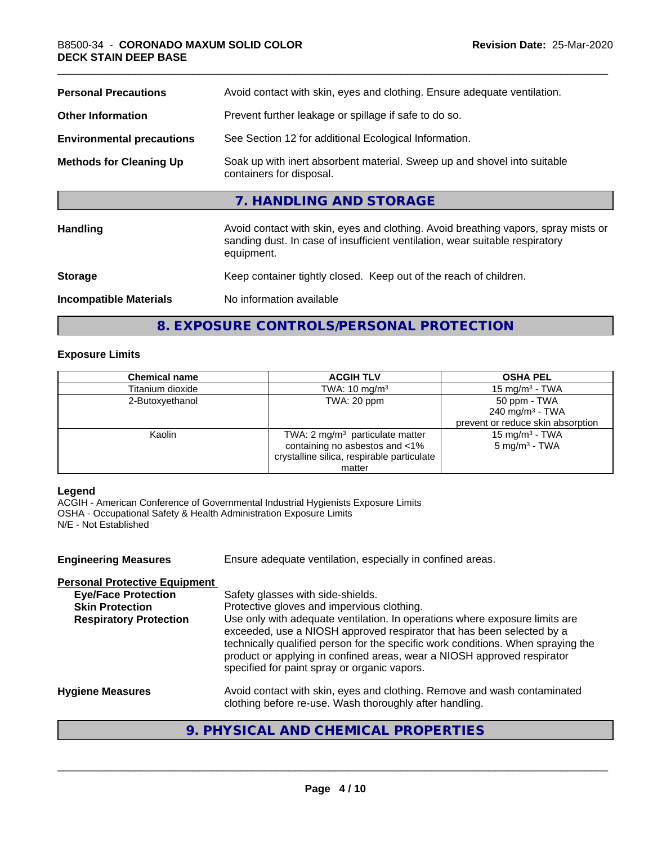| Avoid contact with skin, eyes and clothing. Ensure adequate ventilation.                                                                                                         |
|----------------------------------------------------------------------------------------------------------------------------------------------------------------------------------|
| Prevent further leakage or spillage if safe to do so.                                                                                                                            |
| See Section 12 for additional Ecological Information.                                                                                                                            |
| Soak up with inert absorbent material. Sweep up and shovel into suitable<br>containers for disposal.                                                                             |
| 7. HANDLING AND STORAGE                                                                                                                                                          |
| Avoid contact with skin, eyes and clothing. Avoid breathing vapors, spray mists or<br>sanding dust. In case of insufficient ventilation, wear suitable respiratory<br>equipment. |
| Keep container tightly closed. Keep out of the reach of children.                                                                                                                |
| No information available                                                                                                                                                         |
|                                                                                                                                                                                  |

**8. EXPOSURE CONTROLS/PERSONAL PROTECTION**

# **Exposure Limits**

| <b>Chemical name</b> | <b>ACGIH TLV</b>                           | <b>OSHA PEL</b>                   |
|----------------------|--------------------------------------------|-----------------------------------|
| Titanium dioxide     | TWA: $10 \text{ mg/m}^3$                   | 15 mg/m $3$ - TWA                 |
| 2-Butoxyethanol      | TWA: 20 ppm                                | 50 ppm - TWA                      |
|                      |                                            | 240 mg/m $3$ - TWA                |
|                      |                                            | prevent or reduce skin absorption |
| Kaolin               | TWA: $2 \text{ mg/m}^3$ particulate matter | 15 mg/m <sup>3</sup> - TWA        |
|                      | containing no asbestos and <1%             | $5 \text{ mg/m}^3$ - TWA          |
|                      | crystalline silica, respirable particulate |                                   |
|                      | matter                                     |                                   |

#### **Legend**

ACGIH - American Conference of Governmental Industrial Hygienists Exposure Limits OSHA - Occupational Safety & Health Administration Exposure Limits N/E - Not Established

| Ensure adequate ventilation, especially in confined areas.                                                                                                                                                                                                                                                                                                          |
|---------------------------------------------------------------------------------------------------------------------------------------------------------------------------------------------------------------------------------------------------------------------------------------------------------------------------------------------------------------------|
|                                                                                                                                                                                                                                                                                                                                                                     |
| Safety glasses with side-shields.                                                                                                                                                                                                                                                                                                                                   |
| Protective gloves and impervious clothing.                                                                                                                                                                                                                                                                                                                          |
| Use only with adequate ventilation. In operations where exposure limits are<br>exceeded, use a NIOSH approved respirator that has been selected by a<br>technically qualified person for the specific work conditions. When spraying the<br>product or applying in confined areas, wear a NIOSH approved respirator<br>specified for paint spray or organic vapors. |
| Avoid contact with skin, eyes and clothing. Remove and wash contaminated<br>clothing before re-use. Wash thoroughly after handling.                                                                                                                                                                                                                                 |
|                                                                                                                                                                                                                                                                                                                                                                     |

# **9. PHYSICAL AND CHEMICAL PROPERTIES**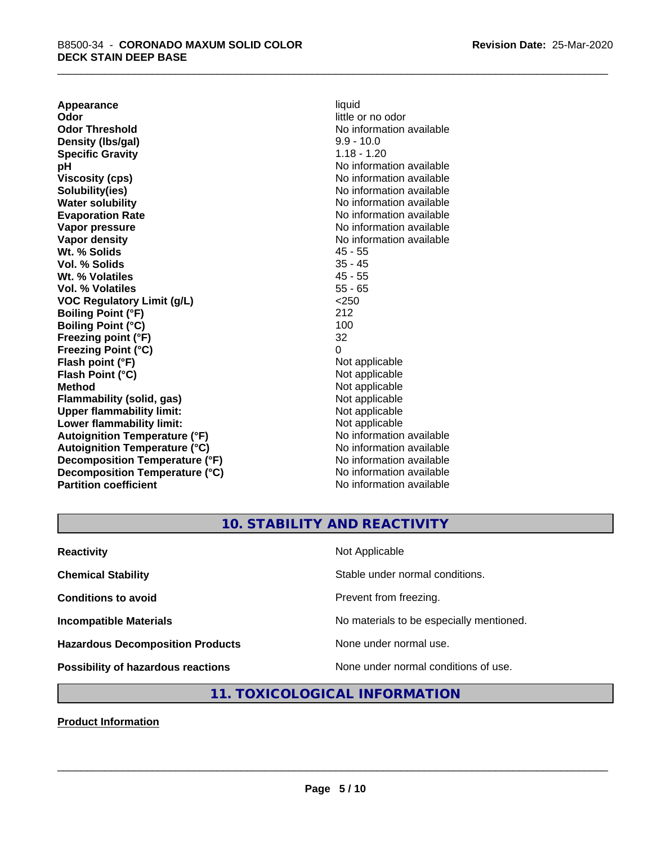**Appearance** liquid<br> **Odor** little c **Odor Threshold** No information available **Density (lbs/gal)** 9.9 - 10.0 **Specific Gravity** 1.18 - 1.20 **pH** No information available **Viscosity (cps)** No information available Notice 1, 1999 **Solubility(ies)** No information available in the solution of the solution of the solution available in the solution of the solution of the solution of the solution of the solution of the solution of the solution of the so **Water solubility** No information available **Evaporation Rate No information available No information available Vapor pressure** No information available in the North American Monte available in the North American available **Vapor density**<br> **We Solids**<br>
We Solid Wi, % Solids
2019 **Wt. % Solids** 45 - 55 **Vol. % Solids Wt. % Volatiles** 45 - 55 **Vol. % Volatiles** 55 - 65 **VOC Regulatory Limit (g/L)** <250 **Boiling Point (°F)** 212 **Boiling Point (°C) Freezing point (°F)** 32 **Freezing Point (°C)** 0 **Flash point (°F)** Not applicable **Flash Point (°C)** Not applicable **Method** Not applicable<br> **Flammability (solid, gas)** Not applicable Not applicable **Flammability** (solid, gas) **Upper flammability limit:**<br> **Lower flammability limit:**<br>
Not applicable<br>
Not applicable **Lower flammability limit:**<br> **Autoignition Temperature (°F)** Not applicable Not applicable available **Autoignition Temperature (°F) Autoignition Temperature (°C)** No information available **Decomposition Temperature (°F)** No information available **Decomposition Temperature (°C)** No information available **Partition coefficient** No information available

little or no odor

# **10. STABILITY AND REACTIVITY**

| <b>Reactivity</b>                         | Not Applicable                           |
|-------------------------------------------|------------------------------------------|
| <b>Chemical Stability</b>                 | Stable under normal conditions.          |
| <b>Conditions to avoid</b>                | Prevent from freezing.                   |
| <b>Incompatible Materials</b>             | No materials to be especially mentioned. |
| <b>Hazardous Decomposition Products</b>   | None under normal use.                   |
| <b>Possibility of hazardous reactions</b> | None under normal conditions of use.     |

# **11. TOXICOLOGICAL INFORMATION**

**Product Information**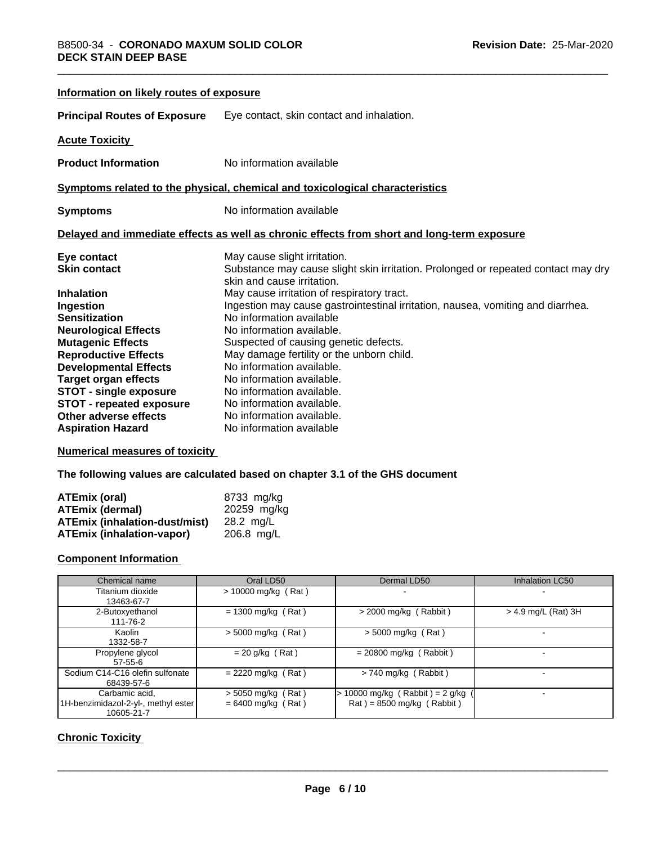| Information on likely routes of exposure |                                                                                                                 |
|------------------------------------------|-----------------------------------------------------------------------------------------------------------------|
| <b>Principal Routes of Exposure</b>      | Eye contact, skin contact and inhalation.                                                                       |
| <b>Acute Toxicity</b>                    |                                                                                                                 |
| <b>Product Information</b>               | No information available                                                                                        |
|                                          | Symptoms related to the physical, chemical and toxicological characteristics                                    |
| <b>Symptoms</b>                          | No information available                                                                                        |
|                                          | Delayed and immediate effects as well as chronic effects from short and long-term exposure                      |
| Eye contact                              | May cause slight irritation.                                                                                    |
| <b>Skin contact</b>                      | Substance may cause slight skin irritation. Prolonged or repeated contact may dry<br>skin and cause irritation. |
| <b>Inhalation</b>                        | May cause irritation of respiratory tract.                                                                      |
| Ingestion                                | Ingestion may cause gastrointestinal irritation, nausea, vomiting and diarrhea.                                 |
| <b>Sensitization</b>                     | No information available                                                                                        |
| <b>Neurological Effects</b>              | No information available.                                                                                       |
| <b>Mutagenic Effects</b>                 | Suspected of causing genetic defects.                                                                           |
| <b>Reproductive Effects</b>              | May damage fertility or the unborn child.                                                                       |
| <b>Developmental Effects</b>             | No information available.                                                                                       |
| <b>Target organ effects</b>              | No information available.                                                                                       |
| <b>STOT - single exposure</b>            | No information available.                                                                                       |
| <b>STOT - repeated exposure</b>          | No information available.                                                                                       |
| Other adverse effects                    | No information available.                                                                                       |
| <b>Aspiration Hazard</b>                 | No information available                                                                                        |

# **Numerical measures of toxicity**

**The following values are calculated based on chapter 3.1 of the GHS document**

| ATEmix (oral)                        | 8733 mg/ka   |
|--------------------------------------|--------------|
| ATEmix (dermal)                      | 20259 mg/kg  |
| <b>ATEmix (inhalation-dust/mist)</b> | 28.2 ma/L    |
| <b>ATEmix (inhalation-vapor)</b>     | $206.8$ mg/L |

# **Component Information**

| Chemical name                                                       | Oral LD50                                    | Dermal LD50                                                          | <b>Inhalation LC50</b> |
|---------------------------------------------------------------------|----------------------------------------------|----------------------------------------------------------------------|------------------------|
| Titanium dioxide<br>13463-67-7                                      | $> 10000$ mg/kg (Rat)                        | $\overline{\phantom{0}}$                                             |                        |
| 2-Butoxyethanol<br>111-76-2                                         | $= 1300$ mg/kg (Rat)                         | $>$ 2000 mg/kg (Rabbit)                                              | $>$ 4.9 mg/L (Rat) 3H  |
| Kaolin<br>1332-58-7                                                 | $>$ 5000 mg/kg (Rat)                         | $>$ 5000 mg/kg (Rat)                                                 |                        |
| Propylene glycol<br>$57 - 55 - 6$                                   | $= 20$ g/kg (Rat)                            | $= 20800$ mg/kg (Rabbit)                                             |                        |
| Sodium C14-C16 olefin sulfonate<br>68439-57-6                       | $= 2220$ mg/kg (Rat)                         | $> 740$ mg/kg (Rabbit)                                               |                        |
| Carbamic acid.<br>1H-benzimidazol-2-yl-, methyl ester<br>10605-21-7 | $>$ 5050 mg/kg (Rat)<br>$= 6400$ mg/kg (Rat) | $\cdot$ 10000 mg/kg (Rabbit) = 2 g/kg<br>$Rat$ = 8500 mg/kg (Rabbit) |                        |

# **Chronic Toxicity**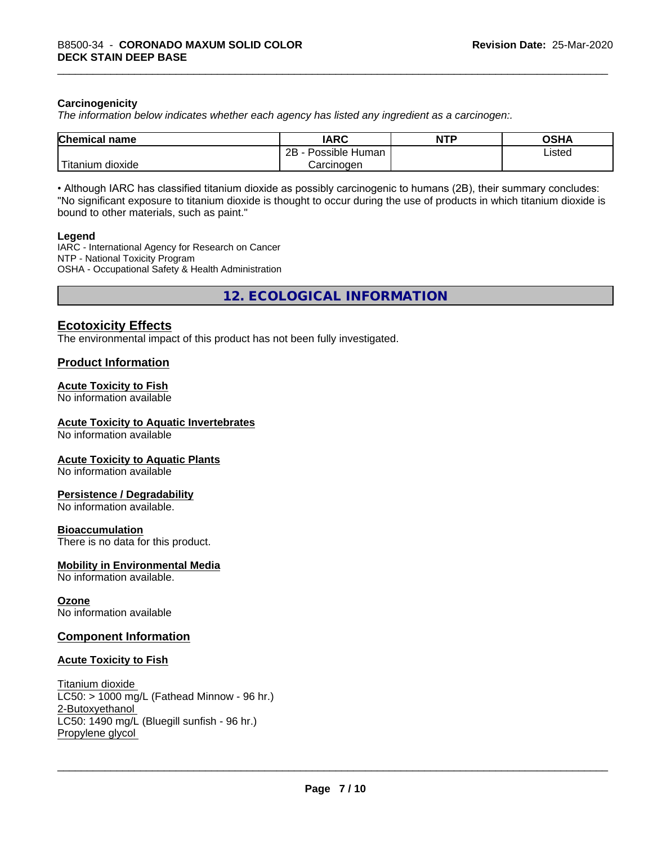# **Carcinogenicity**

*The information below indicateswhether each agency has listed any ingredient as a carcinogen:.*

| <b>Chemical name</b>                       | <b>IARC</b>                     | <b>NTP</b> | <b>OSHA</b> |
|--------------------------------------------|---------------------------------|------------|-------------|
|                                            | .<br>2R<br>Possible Human<br>40 |            | Listed<br>. |
| . . <del>. .</del><br>dioxide<br>I itanium | Carcinogen                      |            |             |

• Although IARC has classified titanium dioxide as possibly carcinogenic to humans (2B), their summary concludes: "No significant exposure to titanium dioxide is thought to occur during the use of products in which titanium dioxide is bound to other materials, such as paint."

#### **Legend**

IARC - International Agency for Research on Cancer NTP - National Toxicity Program OSHA - Occupational Safety & Health Administration

**12. ECOLOGICAL INFORMATION**

# **Ecotoxicity Effects**

The environmental impact of this product has not been fully investigated.

# **Product Information**

# **Acute Toxicity to Fish**

No information available

## **Acute Toxicity to Aquatic Invertebrates**

No information available

#### **Acute Toxicity to Aquatic Plants**

No information available

#### **Persistence / Degradability**

No information available.

#### **Bioaccumulation**

There is no data for this product.

## **Mobility in Environmental Media**

No information available.

#### **Ozone**

No information available

#### **Component Information**

#### **Acute Toxicity to Fish**

Titanium dioxide  $LC50:$  > 1000 mg/L (Fathead Minnow - 96 hr.) 2-Butoxyethanol LC50: 1490 mg/L (Bluegill sunfish - 96 hr.) Propylene glycol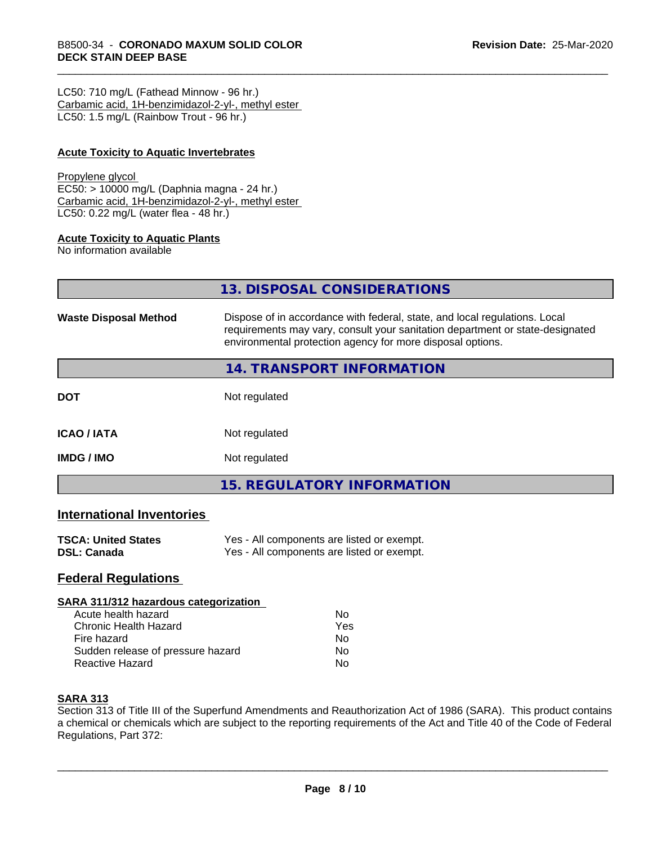LC50: 710 mg/L (Fathead Minnow - 96 hr.) Carbamic acid, 1H-benzimidazol-2-yl-, methyl ester LC50: 1.5 mg/L (Rainbow Trout - 96 hr.)

# **Acute Toxicity to Aquatic Invertebrates**

#### Propylene glycol

EC50: > 10000 mg/L (Daphnia magna - 24 hr.) Carbamic acid, 1H-benzimidazol-2-yl-, methyl ester LC50: 0.22 mg/L (water flea - 48 hr.)

#### **Acute Toxicity to Aquatic Plants**

No information available

|                              | 13. DISPOSAL CONSIDERATIONS                                                                                                                                                                                               |
|------------------------------|---------------------------------------------------------------------------------------------------------------------------------------------------------------------------------------------------------------------------|
| <b>Waste Disposal Method</b> | Dispose of in accordance with federal, state, and local regulations. Local<br>requirements may vary, consult your sanitation department or state-designated<br>environmental protection agency for more disposal options. |
|                              | <b>14. TRANSPORT INFORMATION</b>                                                                                                                                                                                          |
| DOT                          | Not regulated                                                                                                                                                                                                             |
| <b>ICAO / IATA</b>           | Not regulated                                                                                                                                                                                                             |
| IMDG / IMO                   | Not regulated                                                                                                                                                                                                             |
|                              | <b>15. REGULATORY INFORMATION</b>                                                                                                                                                                                         |
|                              |                                                                                                                                                                                                                           |

# **International Inventories**

| <b>TSCA: United States</b> | Yes - All components are listed or exempt. |
|----------------------------|--------------------------------------------|
| DSL: Canada                | Yes - All components are listed or exempt. |

# **Federal Regulations**

#### **SARA 311/312 hazardous categorization**

| Acute health hazard               | Nο  |  |
|-----------------------------------|-----|--|
| Chronic Health Hazard             | Yes |  |
| Fire hazard                       | Nο  |  |
| Sudden release of pressure hazard | Nο  |  |
| Reactive Hazard                   | N٥  |  |

## **SARA 313**

Section 313 of Title III of the Superfund Amendments and Reauthorization Act of 1986 (SARA). This product contains a chemical or chemicals which are subject to the reporting requirements of the Act and Title 40 of the Code of Federal Regulations, Part 372: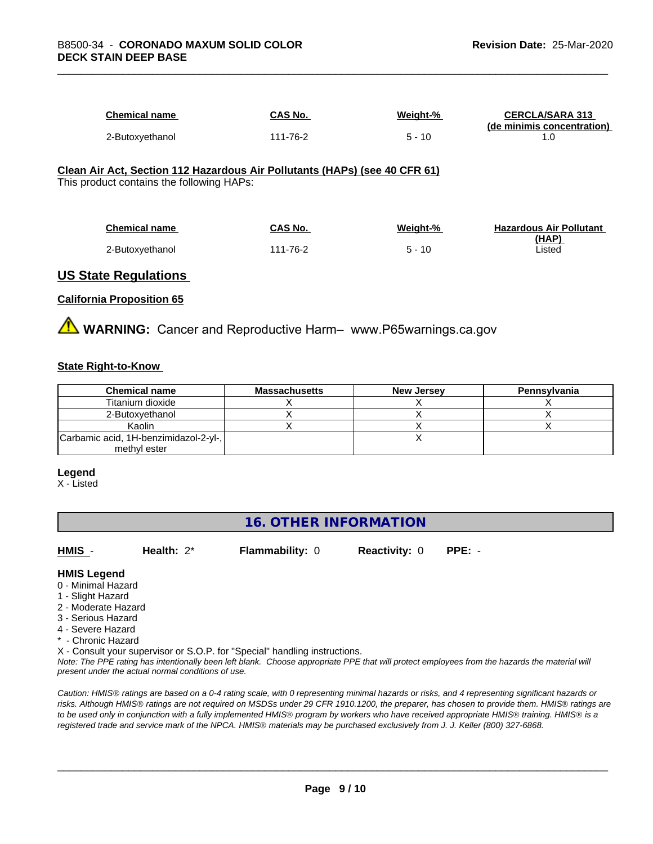| Chemical name   | CAS No.  | Weight-% | <b>CERCLA/SARA 313</b><br>(de minimis concentration) |
|-----------------|----------|----------|------------------------------------------------------|
| 2-Butoxyethanol | 111-76-2 | - 10     |                                                      |

#### **Clean Air Act,Section 112 Hazardous Air Pollutants (HAPs) (see 40 CFR 61)** This product contains the following HAPs:

| <b>Chemical name</b> | CAS No.  | Weight-% | <b>Hazardous Air Pollutant</b> |
|----------------------|----------|----------|--------------------------------|
|                      |          |          | (HAP)                          |
| 2-Butoxyethanol      | 111-76-2 | $5 - 10$ | ∟isted                         |

# **US State Regulations**

## **California Proposition 65**

**A** WARNING: Cancer and Reproductive Harm– www.P65warnings.ca.gov

## **State Right-to-Know**

| <b>Chemical name</b>                  | <b>Massachusetts</b> | <b>New Jersey</b> | Pennsylvania |
|---------------------------------------|----------------------|-------------------|--------------|
| Titanium dioxide                      |                      |                   |              |
| 2-Butoxvethanol                       |                      |                   |              |
| Kaolin                                |                      |                   |              |
| Carbamic acid, 1H-benzimidazol-2-yl-, |                      |                   |              |
| methyl ester                          |                      |                   |              |

#### **Legend**

X - Listed

# **16. OTHER INFORMATION**

**HMIS** - **Health:** 2\* **Flammability:** 0 **Reactivity:** 0 **PPE:** -

 $\overline{\phantom{a}}$  ,  $\overline{\phantom{a}}$  ,  $\overline{\phantom{a}}$  ,  $\overline{\phantom{a}}$  ,  $\overline{\phantom{a}}$  ,  $\overline{\phantom{a}}$  ,  $\overline{\phantom{a}}$  ,  $\overline{\phantom{a}}$  ,  $\overline{\phantom{a}}$  ,  $\overline{\phantom{a}}$  ,  $\overline{\phantom{a}}$  ,  $\overline{\phantom{a}}$  ,  $\overline{\phantom{a}}$  ,  $\overline{\phantom{a}}$  ,  $\overline{\phantom{a}}$  ,  $\overline{\phantom{a}}$ 

**HMIS Legend**

- 0 Minimal Hazard
- 1 Slight Hazard
- 2 Moderate Hazard
- 3 Serious Hazard
- 4 Severe Hazard
- \* Chronic Hazard

X - Consult your supervisor or S.O.P. for "Special" handling instructions.

*Note: The PPE rating has intentionally been left blank. Choose appropriate PPE that will protect employees from the hazards the material will present under the actual normal conditions of use.*

*Caution: HMISÒ ratings are based on a 0-4 rating scale, with 0 representing minimal hazards or risks, and 4 representing significant hazards or risks. Although HMISÒ ratings are not required on MSDSs under 29 CFR 1910.1200, the preparer, has chosen to provide them. HMISÒ ratings are to be used only in conjunction with a fully implemented HMISÒ program by workers who have received appropriate HMISÒ training. HMISÒ is a registered trade and service mark of the NPCA. HMISÒ materials may be purchased exclusively from J. J. Keller (800) 327-6868.*